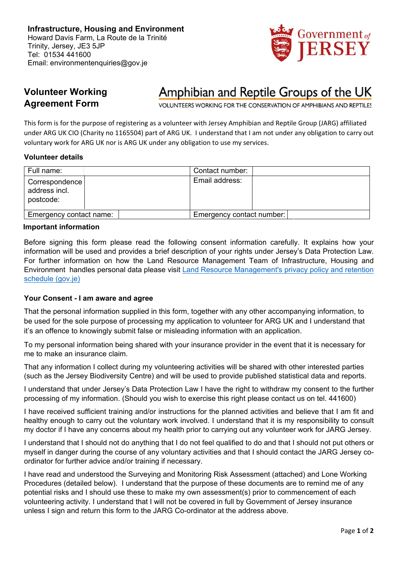

# **Volunteer Working Agreement Form**

# Amphibian and Reptile Groups of the UK

VOLUNTEERS WORKING FOR THE CONSERVATION OF AMPHIBIANS AND REPTILES

This form is for the purpose of registering as a volunteer with Jersey Amphibian and Reptile Group (JARG) affiliated under ARG UK CIO (Charity no 1165504) part of ARG UK. I understand that I am not under any obligation to carry out voluntary work for ARG UK nor is ARG UK under any obligation to use my services.

# **Volunteer details**

| Full name:                                   | Contact number:           |  |
|----------------------------------------------|---------------------------|--|
| Correspondence<br>address incl.<br>postcode: | Email address:            |  |
| Emergency contact name:                      | Emergency contact number: |  |

#### **Important information**

Before signing this form please read the following consent information carefully. It explains how your information will be used and provides a brief description of your rights under Jersey's Data Protection Law. For further information on how the Land Resource Management Team of Infrastructure, Housing and Environment handles personal data please visit Land Resource Management's privacy policy and retention schedule (gov.je)

## **Your Consent - I am aware and agree**

That the personal information supplied in this form, together with any other accompanying information, to be used for the sole purpose of processing my application to volunteer for ARG UK and I understand that it's an offence to knowingly submit false or misleading information with an application.

To my personal information being shared with your insurance provider in the event that it is necessary for me to make an insurance claim.

That any information I collect during my volunteering activities will be shared with other interested parties (such as the Jersey Biodiversity Centre) and will be used to provide published statistical data and reports.

I understand that under Jersey's Data Protection Law I have the right to withdraw my consent to the further processing of my information. (Should you wish to exercise this right please contact us on tel. 441600)

I have received sufficient training and/or instructions for the planned activities and believe that I am fit and healthy enough to carry out the voluntary work involved. I understand that it is my responsibility to consult my doctor if I have any concerns about my health prior to carrying out any volunteer work for JARG Jersey.

I understand that I should not do anything that I do not feel qualified to do and that I should not put others or myself in danger during the course of any voluntary activities and that I should contact the JARG Jersey coordinator for further advice and/or training if necessary.

I have read and understood the Surveying and Monitoring Risk Assessment (attached) and Lone Working Procedures (detailed below). I understand that the purpose of these documents are to remind me of any potential risks and I should use these to make my own assessment(s) prior to commencement of each volunteering activity. I understand that I will not be covered in full by Government of Jersey insurance unless I sign and return this form to the JARG Co-ordinator at the address above.